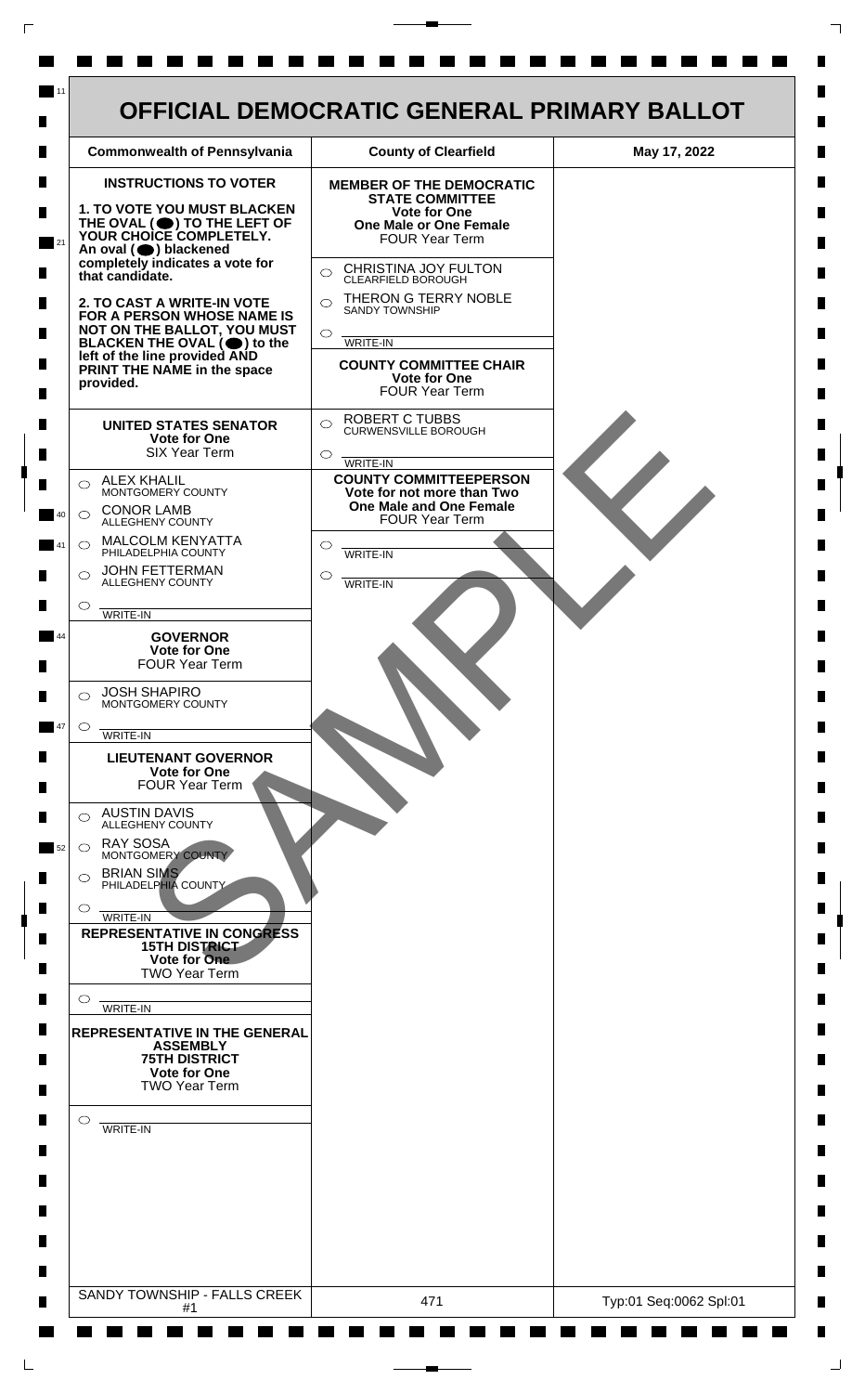

 $\mathsf{L}$ 

 $\Box$